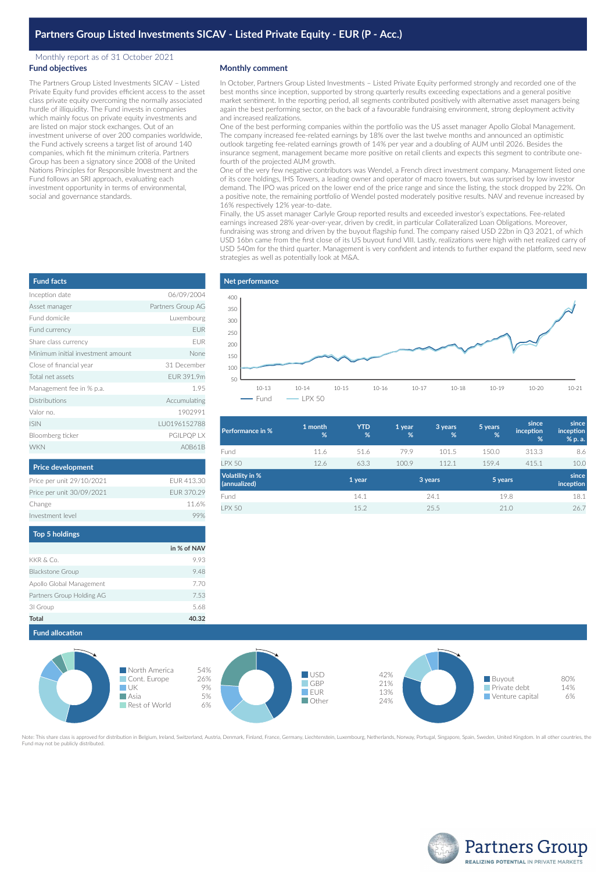## Monthly report as of 31 October 2021 **Fund objectives**

The Partners Group Listed Investments SICAV – Listed Private Equity fund provides efficient access to the asset class private equity overcoming the normally associated hurdle of illiquidity. The Fund invests in companies which mainly focus on private equity investments and are listed on major stock exchanges. Out of an investment universe of over 200 companies worldwide, the Fund actively screens a target list of around 140 companies, which fit the minimum criteria. Partners Group has been a signatory since 2008 of the United Nations Principles for Responsible Investment and the Fund follows an SRI approach, evaluating each investment opportunity in terms of environmental, social and governance standards.

## **Monthly comment**

**Net performance**

In October, Partners Group Listed Investments – Listed Private Equity performed strongly and recorded one of the best months since inception, supported by strong quarterly results exceeding expectations and a general positive market sentiment. In the reporting period, all segments contributed positively with alternative asset managers being again the best performing sector, on the back of a favourable fundraising environment, strong deployment activity and increased realizations.

One of the best performing companies within the portfolio was the US asset manager Apollo Global Management. The company increased fee-related earnings by 18% over the last twelve months and announced an optimistic outlook targeting fee-related earnings growth of 14% per year and a doubling of AUM until 2026. Besides the insurance segment, management became more positive on retail clients and expects this segment to contribute onefourth of the projected AUM growth.

One of the very few negative contributors was Wendel, a French direct investment company. Management listed one of its core holdings, IHS Towers, a leading owner and operator of macro towers, but was surprised by low investor demand. The IPO was priced on the lower end of the price range and since the listing, the stock dropped by 22%. On a positive note, the remaining portfolio of Wendel posted moderately positive results. NAV and revenue increased by 16% respectively 12% year-to-date.

Finally, the US asset manager Carlyle Group reported results and exceeded investor's expectations. Fee-related earnings increased 28% year-over-year, driven by credit, in particular Collateralized Loan Obligations. Moreover, fundraising was strong and driven by the buyout flagship fund. The company raised USD 22bn in Q3 2021, of which USD 16bn came from the first close of its US buyout fund VIII. Lastly, realizations were high with net realized carry of USD 540m for the third quarter. Management is very confident and intends to further expand the platform, seed new strategies as well as potentially look at M&A.

| <b>Fund facts</b>                 |                   |
|-----------------------------------|-------------------|
| Inception date                    | 06/09/2004        |
| Asset manager                     | Partners Group AG |
| Fund domicile                     | Luxembourg        |
| Fund currency                     | <b>EUR</b>        |
| Share class currency              | <b>FUR</b>        |
| Minimum initial investment amount | None              |
| Close of financial year           | 31 December       |
| Total net assets                  | FUR 391.9m        |
| Management fee in % p.a.          | 1.95              |
| <b>Distributions</b>              | Accumulating      |
| Valor no.                         | 1902991           |
| <b>ISIN</b>                       | LU0196152788      |
| Bloomberg ticker                  | PGILPQP LX        |
| <b>WKN</b>                        | AOR61R            |

| 400<br>350<br>300<br>250<br>200<br>150<br>100<br>50 |                       |                         |           |           |           |           |           |           |           |
|-----------------------------------------------------|-----------------------|-------------------------|-----------|-----------|-----------|-----------|-----------|-----------|-----------|
|                                                     | $10 - 13$<br>$-$ Fund | $10 - 14$<br>$-$ LPX 50 | $10 - 15$ | $10 - 16$ | $10 - 17$ | $10 - 18$ | $10 - 19$ | $10 - 20$ | $10 - 21$ |

| Performance in %                | 1 month<br>% | <b>YTD</b><br>% | 1 year<br>% | 3 years<br>% | 5 years<br>% | since<br>inception<br>% | since<br>inception<br>% p. a. |
|---------------------------------|--------------|-----------------|-------------|--------------|--------------|-------------------------|-------------------------------|
| Fund                            | 11.6         | 51.6            | 79.9        | 101.5        | 150.0        | 313.3                   | 8.6                           |
| <b>LPX 50</b>                   | 12.6         | 63.3            | 100.9       | 112.1        | 159.4        | 415.1                   | 10.0                          |
| Volatility in %<br>(annualized) |              | 1 year          |             | 3 years      | 5 years      |                         | since<br>inception            |
| Fund                            |              | 14.1            |             | 24.1         | 19.8         |                         | 18.1                          |
| <b>LPX 50</b>                   |              | 15.2            |             | 25.5         | 21.0         |                         | 26.7                          |
|                                 |              |                 |             |              |              |                         |                               |

| <b>Top 5 holdings</b>     |                   |
|---------------------------|-------------------|
| Investment level          |                   |
| Change                    | 11.6%             |
| Price per unit 30/09/2021 | <b>EUR 370.29</b> |
| Price per unit 29/10/2021 | FUR 413.30        |
|                           |                   |

|                           | in % of NAV |
|---------------------------|-------------|
| KKR & Co.                 | 9.93        |
| <b>Blackstone Group</b>   | 9.48        |
| Apollo Global Management  | 7.70        |
| Partners Group Holding AG | 7.53        |
| 31 Group                  | 5.68        |
| <b>Total</b>              | 40.32       |
|                           |             |



Note: This share class is approved for distribution in Belgium, Ireland, Switzerland, Austria, Denmark, Finland, France, Germany, Liechtenstein, Luxembourg, Netherlands, Norway, Portugal, Singapore, Spain, Sweden, United K Fund may not be publicly distributed.



| <b>Price development</b>  |                 |
|---------------------------|-----------------|
| Price per unit 29/10/2021 | FUR 413.        |
| Price per unit 30/09/2021 | <b>EUR 370.</b> |
| Change                    | 11 <sub>1</sub> |
| nvestment level           | Q               |
|                           |                 |

| p 5 holdings          |             |
|-----------------------|-------------|
|                       | in % of NAV |
| l & Co.               | 9.93        |
| kstone Group          | 9.48        |
| llo Global Management | 7.70        |
| ners Group Holding AG | 7.53        |
| iroup                 | 5.68        |
| ۱l                    | 40.32       |